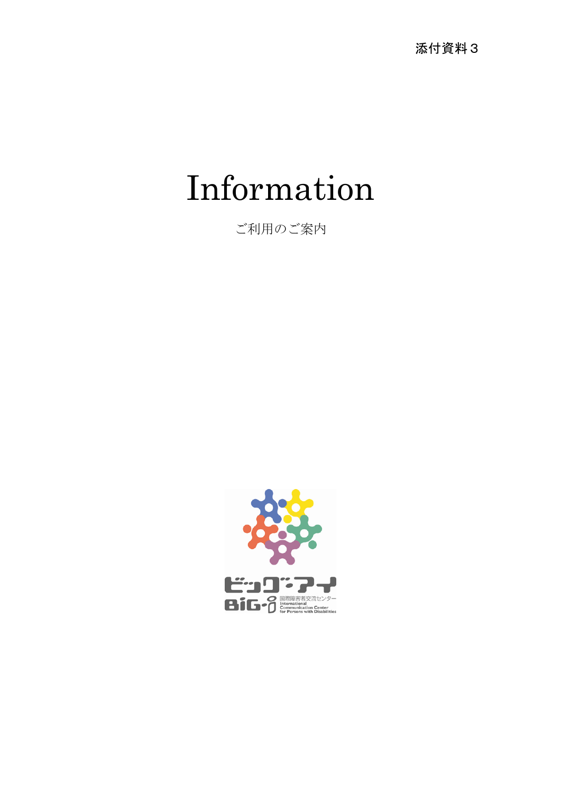# Information

ご利用のご案内

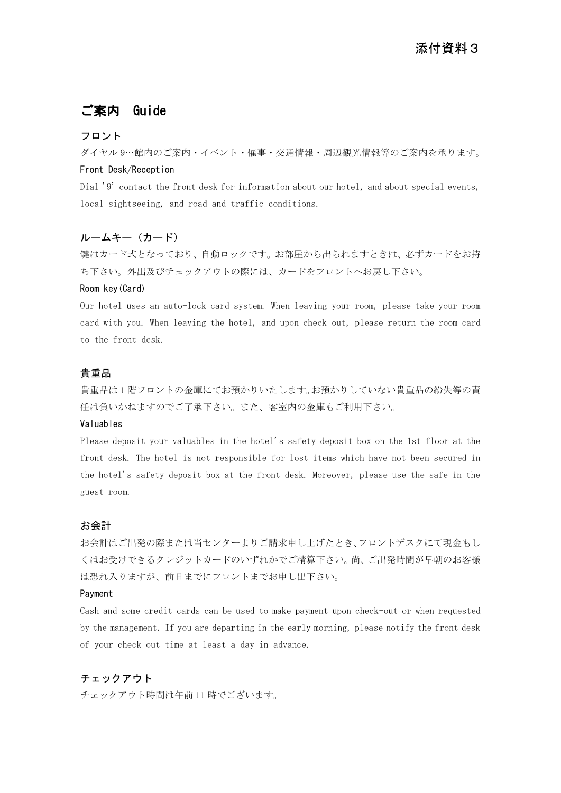## ご案内 Guide

## フロント

ダイヤル 9…館内のご案内・イベント・催事・交通情報・周辺観光情報等のご案内を承ります。 Front Desk/Reception

Dial '9' contact the front desk for information about our hotel, and about special events, local sightseeing, and road and traffic conditions.

## ルームキー(カード)

鍵はカード式となっており、自動ロックです。お部屋から出られますときは、必ずカードをお持 ち下さい。外出及びチェックアウトの際には、カードをフロントへお戻し下さい。

#### Room key(Card)

Our hotel uses an auto-lock card system. When leaving your room, please take your room card with you. When leaving the hotel, and upon check-out, please return the room card to the front desk.

#### 貴重品

貴重品は 1 階フロントの金庫にてお預かりいたします。お預かりしていない貴重品の紛失等の責 任は負いかねますのでご了承下さい。また、客室内の金庫もご利用下さい。

#### Valuables

Please deposit your valuables in the hotel's safety deposit box on the 1st floor at the front desk. The hotel is not responsible for lost items which have not been secured in the hotel's safety deposit box at the front desk. Moreover, please use the safe in the guest room.

#### お会計

お会計はご出発の際または当センターよりご請求申し上げたとき、フロントデスクにて現金もし くはお受けできるクレジットカードのいずれかでご精算下さい。尚、ご出発時間が早朝のお客様 は恐れ入りますが、前日までにフロントまでお申し出下さい。

#### Payment

Cash and some credit cards can be used to make payment upon check-out or when requested by the management. If you are departing in the early morning, please notify the front desk of your check-out time at least a day in advance.

## チェックアウト

チェックアウト時間は午前 11 時でございます。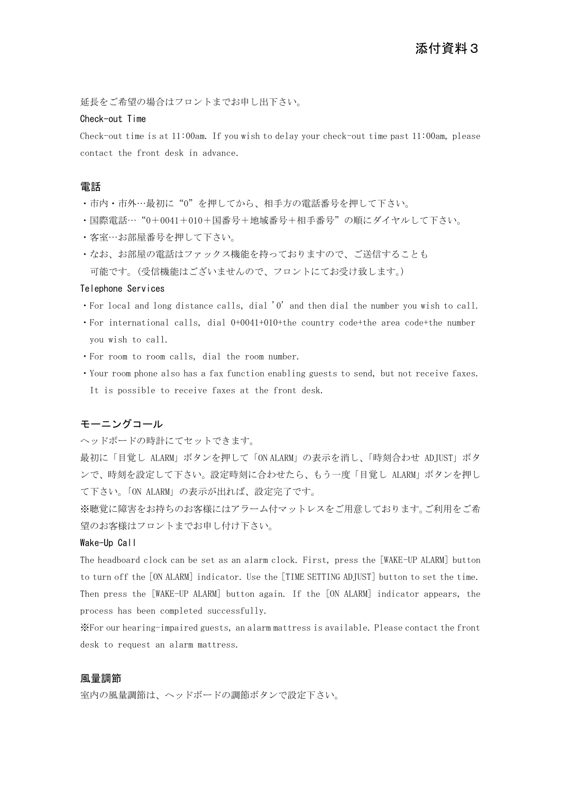延長をご希望の場合はフロントまでお申し出下さい。

#### Check-out Time

Check-out time is at 11:00am. If you wish to delay your check-out time past 11:00am, please contact the front desk in advance.

#### 電話

- ・市内・市外…最初に"0"を押してから、相手方の電話番号を押して下さい。
- ・国際電話…"0+0041+010+国番号+地域番号+相手番号"の順にダイヤルして下さい。
- ・客室…お部屋番号を押して下さい。
- ・なお、お部屋の電話はファックス機能を持っておりますので、ご送信することも 可能です。(受信機能はございませんので、フロントにてお受け致します。)

#### Telephone Services

- ・For local and long distance calls, dial '0' and then dial the number you wish to call.
- ・For international calls, dial 0+0041+010+the country code+the area code+the number you wish to call.
- ・For room to room calls, dial the room number.
- ・Your room phone also has a fax function enabling guests to send, but not receive faxes. It is possible to receive faxes at the front desk.

## モーニングコール

ヘッドボードの時計にてセットできます。

最初に「目覚し ALARM」ボタンを押して「ON ALARM」の表示を消し、「時刻合わせ ADJUST」ボタ ンで、時刻を設定して下さい。設定時刻に合わせたら、もう一度「目覚し ALARM」ボタンを押し て下さい。「ON ALARM」の表示が出れば、設定完了です。

※聴覚に障害をお持ちのお客様にはアラーム付マットレスをご用意しております。ご利用をご希 望のお客様はフロントまでお申し付け下さい。

#### Wake-Up Call

The headboard clock can be set as an alarm clock. First, press the [WAKE-UP ALARM] button to turn off the [ON ALARM] indicator. Use the [TIME SETTING ADJUST] button to set the time. Then press the [WAKE-UP ALARM] button again. If the [ON ALARM] indicator appears, the process has been completed successfully.

※For our hearing-impaired guests, an alarm mattress is available. Please contact the front desk to request an alarm mattress.

#### 風量調節

室内の風量調節は、ヘッドボードの調節ボタンで設定下さい。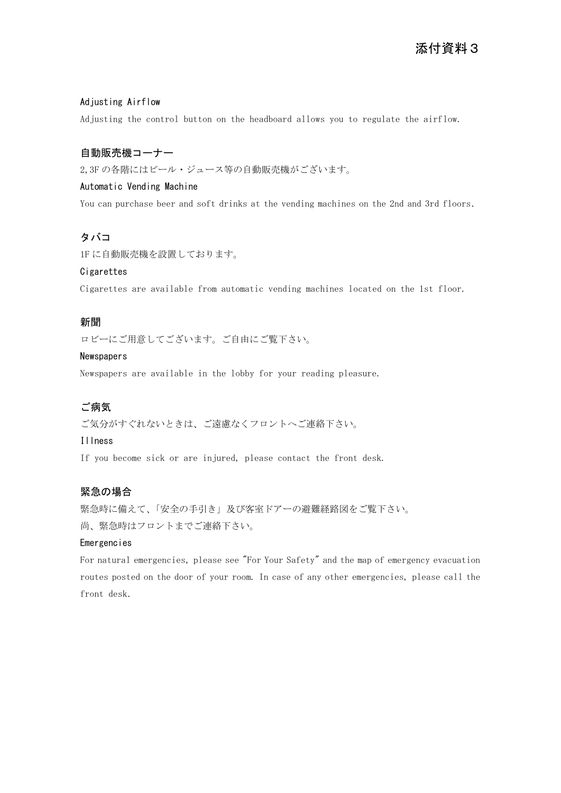#### Adjusting Airflow

Adjusting the control button on the headboard allows you to regulate the airflow.

## 自動販売機コーナー

2,3F の各階にはビール・ジュース等の自動販売機がございます。

#### Automatic Vending Machine

You can purchase beer and soft drinks at the vending machines on the 2nd and 3rd floors.

## タバコ

1F に自動販売機を設置しております。

#### Cigarettes

Cigarettes are available from automatic vending machines located on the 1st floor.

#### 新聞

ロビーにご用意してございます。ご自由にご覧下さい。

#### **Newspapers**

Newspapers are available in the lobby for your reading pleasure.

#### ご病気

ご気分がすぐれないときは、ご遠慮なくフロントへご連絡下さい。

#### Illness

If you become sick or are injured, please contact the front desk.

## 緊急の場合

緊急時に備えて、「安全の手引き」及び客室ドアーの避難経路図をご覧下さい。 尚、緊急時はフロントまでご連絡下さい。

#### Emergencies

For natural emergencies, please see "For Your Safety" and the map of emergency evacuation routes posted on the door of your room. In case of any other emergencies, please call the front desk.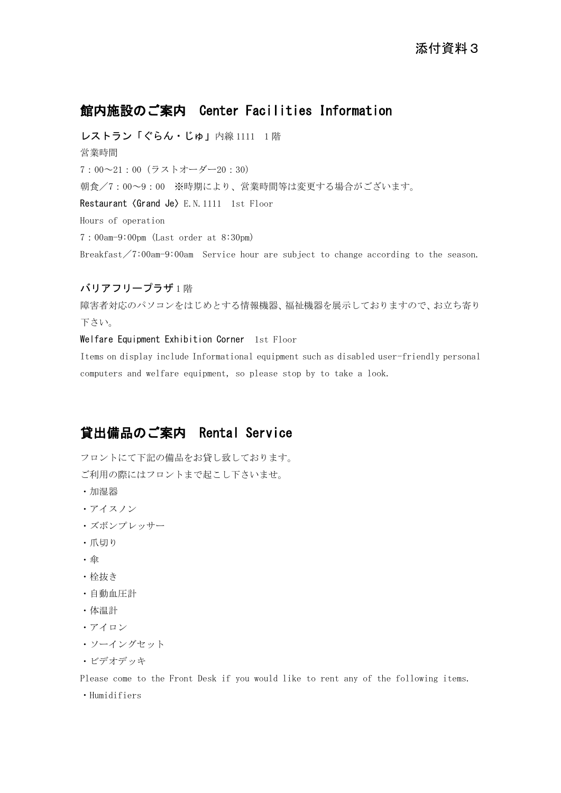## 館内施設のご案内 Center Facilities Information

レストラン「ぐらん・じゅ」内線 1111 1 階 営業時間 7:00~21:00(ラストオーダー20:30) 朝食/7:00~9:00 ※時期により、営業時間等は変更する場合がございます。 Restaurant〈Grand Je〉E.N.1111 1st Floor Hours of operation 7:00am-9:00pm (Last order at 8:30pm) Breakfast/7:00am-9:00am Service hour are subject to change according to the season.

## バリアフリープラザ 1 階

障害者対応のパソコンをはじめとする情報機器、福祉機器を展示しておりますので、お立ち寄り 下さい。

#### Welfare Equipment Exhibition Corner 1st Floor

Items on display include Informational equipment such as disabled user-friendly personal computers and welfare equipment, so please stop by to take a look.

## 貸出備品のご案内 Rental Service

フロントにて下記の備品をお貸し致しております。

ご利用の際にはフロントまで起こし下さいませ。

- ・加湿器
- ・アイスノン
- ・ズボンプレッサー
- ・爪切り
- ・傘
- ・栓抜き
- ・自動血圧計
- ・体温計
- ・アイロン
- ・ソーイングセット
- ・ビデオデッキ

Please come to the Front Desk if you would like to rent any of the following items.

・Humidifiers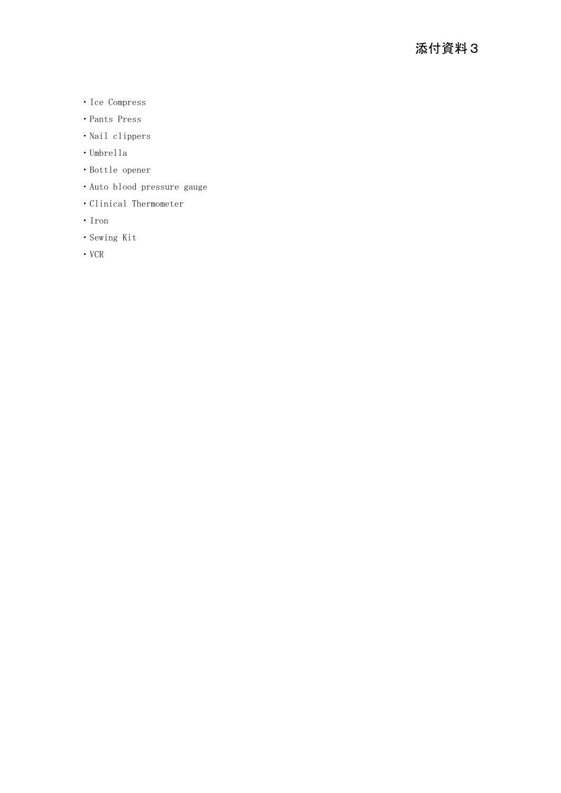- ・Ice Compress
- ・Pants Press
- ・Nail clippers
- ・Umbrella
- ・Bottle opener
- ・Auto blood pressure gauge
- ・Clinical Thermometer
- ・Iron
- ・Sewing Kit
- ・VCR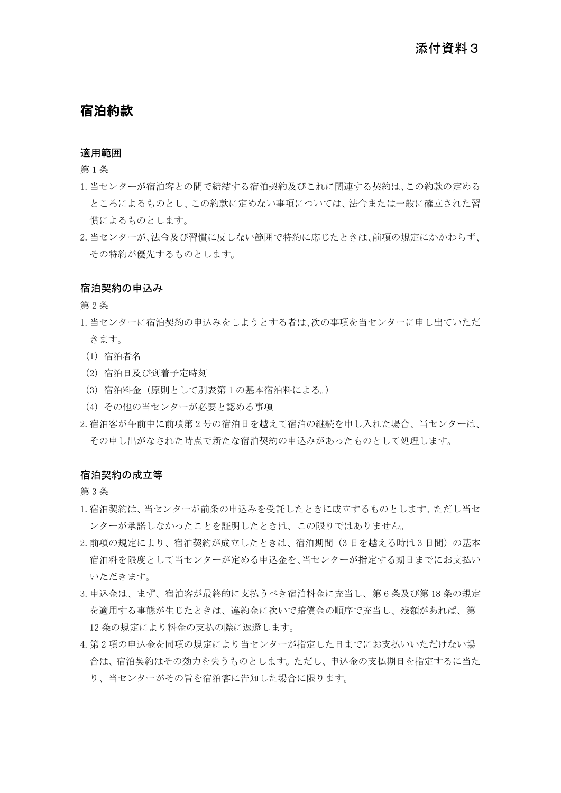## 宿泊約款

#### 適用範囲

第 1 条

- 1.当センターが宿泊客との間で締結する宿泊契約及びこれに関連する契約は、この約款の定める ところによるものとし、この約款に定めない事項については、法令または一般に確立された習 慣によるものとします。
- 2.当センターが、法令及び習慣に反しない範囲で特約に応じたときは、前項の規定にかかわらず、 その特約が優先するものとします。

#### 宿泊契約の申込み

第 2 条

- 1.当センターに宿泊契約の申込みをしようとする者は、次の事項を当センターに申し出ていただ きます。
- (1)宿泊者名
- (2)宿泊日及び到着予定時刻
- (3)宿泊料金(原則として別表第 1 の基本宿泊料による。)
- (4)その他の当センターが必要と認める事項
- 2.宿泊客が午前中に前項第 2 号の宿泊日を越えて宿泊の継続を申し入れた場合、当センターは、 その申し出がなされた時点で新たな宿泊契約の申込みがあったものとして処理します。

#### 宿泊契約の成立等

第 3 条

- 1.宿泊契約は、当センターが前条の申込みを受託したときに成立するものとします。ただし当セ ンターが承諾しなかったことを証明したときは、この限りではありません。
- 2. 前項の規定により、宿泊契約が成立したときは、宿泊期間(3日を越える時は3日間)の基本 宿泊料を限度として当センターが定める申込金を、当センターが指定する期日までにお支払い いただきます。
- 3.申込金は、まず、宿泊客が最終的に支払うべき宿泊料金に充当し、第 6 条及び第 18 条の規定 を適用する事態が生じたときは、違約金に次いで賠償金の順序で充当し、残額があれば、第 12 条の規定により料金の支払の際に返還します。
- 4.第 2 項の申込金を同項の規定により当センターが指定した日までにお支払いいただけない場 合は、宿泊契約はその効力を失うものとします。ただし、申込金の支払期日を指定するに当た り、当センターがその旨を宿泊客に告知した場合に限ります。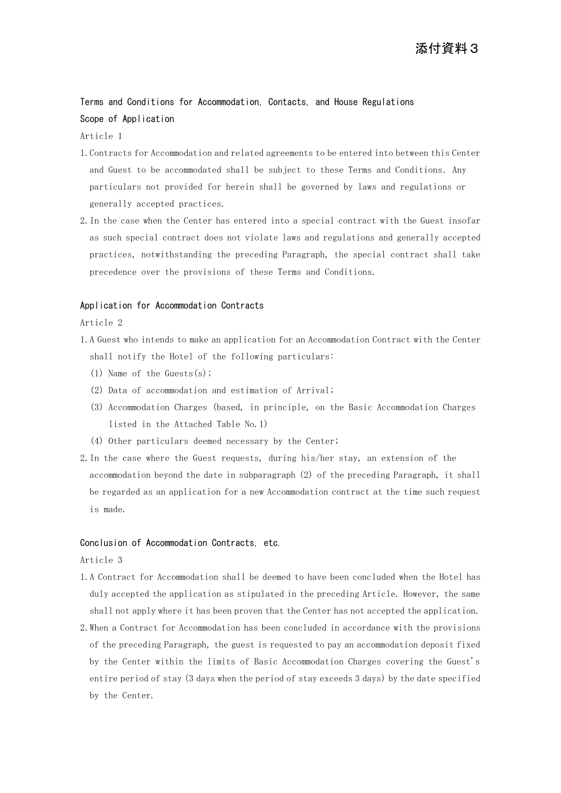Terms and Conditions for Accommodation, Contacts, and House Regulations Scope of Application

Article 1

- 1.Contracts for Accommodation and related agreements to be entered into between this Center and Guest to be accommodated shall be subject to these Terms and Conditions. Any particulars not provided for herein shall be governed by laws and regulations or generally accepted practices.
- 2.In the case when the Center has entered into a special contract with the Guest insofar as such special contract does not violate laws and regulations and generally accepted practices, notwithstanding the preceding Paragraph, the special contract shall take precedence over the provisions of these Terms and Conditions.

#### Application for Accommodation Contracts

Article 2

- 1.A Guest who intends to make an application for an Accommodation Contract with the Center shall notify the Hotel of the following particulars:
	- (1) Name of the Guests $(s)$ ;
	- (2) Data of accommodation and estimation of Arrival;
	- (3) Accommodation Charges (based, in principle, on the Basic Accommodation Charges listed in the Attached Table No.1)
	- (4) Other particulars deemed necessary by the Center;
- 2.In the case where the Guest requests, during his/her stay, an extension of the accommodation beyond the date in subparagraph (2) of the preceding Paragraph, it shall be regarded as an application for a new Accommodation contract at the time such request is made.

#### Conclusion of Accommodation Contracts, etc.

Article 3

- 1.A Contract for Accommodation shall be deemed to have been concluded when the Hotel has duly accepted the application as stipulated in the preceding Article. However, the same shall not apply where it has been proven that the Center has not accepted the application.
- 2.When a Contract for Accommodation has been concluded in accordance with the provisions of the preceding Paragraph, the guest is requested to pay an accommodation deposit fixed by the Center within the limits of Basic Accommodation Charges covering the Guest's entire period of stay (3 days when the period of stay exceeds 3 days) by the date specified by the Center.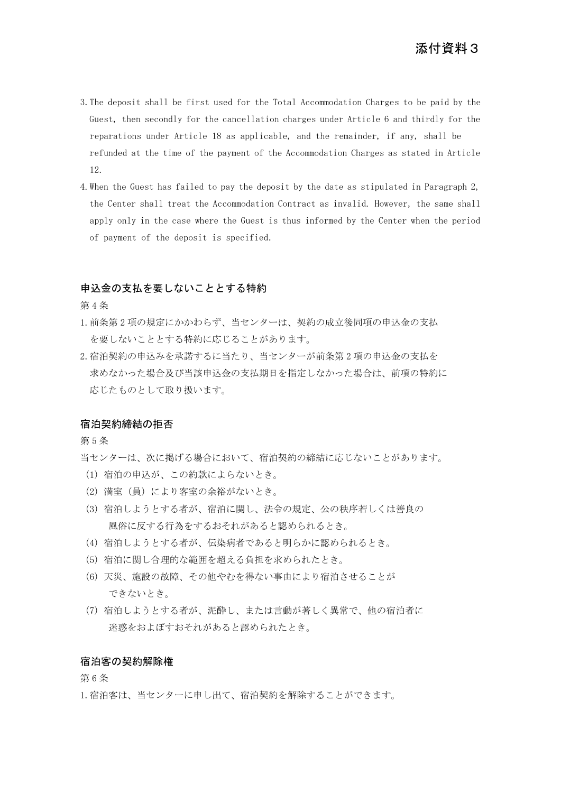- 3.The deposit shall be first used for the Total Accommodation Charges to be paid by the Guest, then secondly for the cancellation charges under Article 6 and thirdly for the reparations under Article 18 as applicable, and the remainder, if any, shall be refunded at the time of the payment of the Accommodation Charges as stated in Article 12.
- 4.When the Guest has failed to pay the deposit by the date as stipulated in Paragraph 2, the Center shall treat the Accommodation Contract as invalid. However, the same shall apply only in the case where the Guest is thus informed by the Center when the period of payment of the deposit is specified.

#### 申込金の支払を要しないこととする特約

第 4 条

- 1.前条第 2 項の規定にかかわらず、当センターは、契約の成立後同項の申込金の支払 を要しないこととする特約に応じることがあります。
- 2.宿泊契約の申込みを承諾するに当たり、当センターが前条第 2 項の申込金の支払を 求めなかった場合及び当該申込金の支払期日を指定しなかった場合は、前項の特約に 応じたものとして取り扱います。

#### 宿泊契約締結の拒否

第 5 条

- 当センターは、次に掲げる場合において、宿泊契約の締結に応じないことがあります。
- (1)宿泊の申込が、この約款によらないとき。
- (2)満室(員)により客室の余裕がないとき。
- (3)宿泊しようとする者が、宿泊に関し、法令の規定、公の秩序若しくは善良の 風俗に反する行為をするおそれがあると認められるとき。
- (4)宿泊しようとする者が、伝染病者であると明らかに認められるとき。
- (5)宿泊に関し合理的な範囲を超える負担を求められたとき。
- (6)天災、施設の故障、その他やむを得ない事由により宿泊させることが できないとき。
- (7)宿泊しようとする者が、泥酔し、または言動が著しく異常で、他の宿泊者に 迷惑をおよぼすおそれがあると認められたとき。

#### 宿泊客の契約解除権

第 6 条

1.宿泊客は、当センターに申し出て、宿泊契約を解除することができます。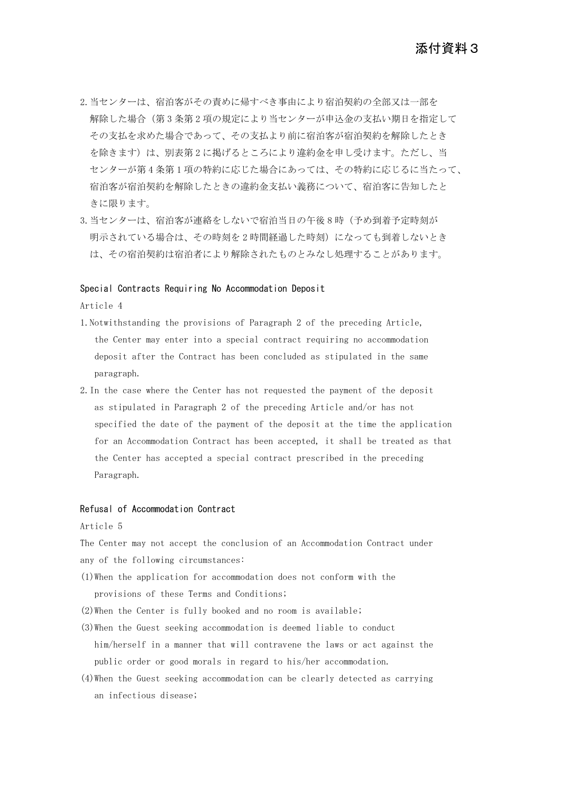- 2.当センターは、宿泊客がその責めに帰すべき事由により宿泊契約の全部又は一部を 解除した場合(第3条第2項の規定により当センターが申込金の支払い期日を指定して その支払を求めた場合であって、その支払より前に宿泊客が宿泊契約を解除したとき を除きます)は、別表第2に掲げるところにより違約金を申し受けます。ただし、当 センターが第 4 条第 1 項の特約に応じた場合にあっては、その特約に応じるに当たって、 宿泊客が宿泊契約を解除したときの違約金支払い義務について、宿泊客に告知したと きに限ります。
- 3.当センターは、宿泊客が連絡をしないで宿泊当日の午後 8 時(予め到着予定時刻が 明示されている場合は、その時刻を 2 時間経過した時刻)になっても到着しないとき は、その宿泊契約は宿泊者により解除されたものとみなし処理することがあります。

#### Special Contracts Requiring No Accommodation Deposit

Article 4

- 1.Notwithstanding the provisions of Paragraph 2 of the preceding Article, the Center may enter into a special contract requiring no accommodation deposit after the Contract has been concluded as stipulated in the same paragraph.
- 2.In the case where the Center has not requested the payment of the deposit as stipulated in Paragraph 2 of the preceding Article and/or has not specified the date of the payment of the deposit at the time the application for an Accommodation Contract has been accepted, it shall be treated as that the Center has accepted a special contract prescribed in the preceding Paragraph.

#### Refusal of Accommodation Contract

Article 5

The Center may not accept the conclusion of an Accommodation Contract under any of the following circumstances:

- (1)When the application for accommodation does not conform with the provisions of these Terms and Conditions;
- (2)When the Center is fully booked and no room is available;
- (3)When the Guest seeking accommodation is deemed liable to conduct him/herself in a manner that will contravene the laws or act against the public order or good morals in regard to his/her accommodation.
- (4)When the Guest seeking accommodation can be clearly detected as carrying an infectious disease;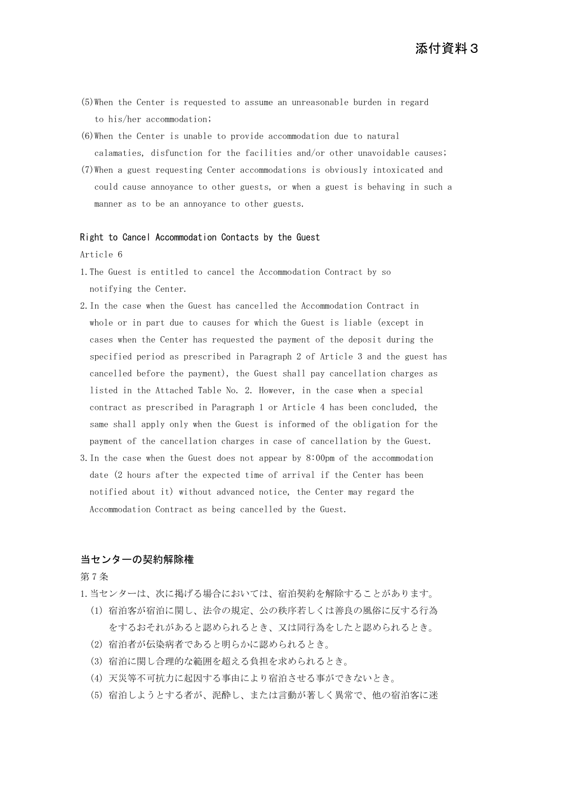- (5)When the Center is requested to assume an unreasonable burden in regard to his/her accommodation;
- (6)When the Center is unable to provide accommodation due to natural calamaties, disfunction for the facilities and/or other unavoidable causes;
- (7)When a guest requesting Center accommodations is obviously intoxicated and could cause annoyance to other guests, or when a guest is behaving in such a manner as to be an annoyance to other guests.

#### Right to Cancel Accommodation Contacts by the Guest

Article 6

- 1.The Guest is entitled to cancel the Accommodation Contract by so notifying the Center.
- 2.In the case when the Guest has cancelled the Accommodation Contract in whole or in part due to causes for which the Guest is liable (except in cases when the Center has requested the payment of the deposit during the specified period as prescribed in Paragraph 2 of Article 3 and the guest has cancelled before the payment), the Guest shall pay cancellation charges as listed in the Attached Table No. 2. However, in the case when a special contract as prescribed in Paragraph 1 or Article 4 has been concluded, the same shall apply only when the Guest is informed of the obligation for the payment of the cancellation charges in case of cancellation by the Guest.
- 3.In the case when the Guest does not appear by 8:00pm of the accommodation date (2 hours after the expected time of arrival if the Center has been notified about it) without advanced notice, the Center may regard the Accommodation Contract as being cancelled by the Guest.

## 当センターの契約解除権

第 7 条

1.当センターは、次に掲げる場合においては、宿泊契約を解除することがあります。

- (1)宿泊客が宿泊に関し、法令の規定、公の秩序若しくは善良の風俗に反する行為 をするおそれがあると認められるとき、又は同行為をしたと認められるとき。
- (2)宿泊者が伝染病者であると明らかに認められるとき。
- (3)宿泊に関し合理的な範囲を超える負担を求められるとき。
- (4)天災等不可抗力に起因する事由により宿泊させる事ができないとき。
- (5)宿泊しようとする者が、泥酔し、または言動が著しく異常で、他の宿泊客に迷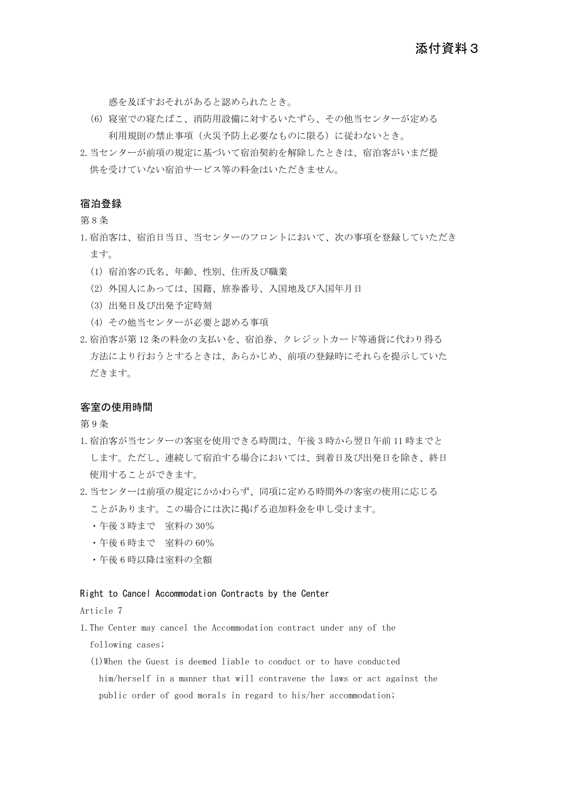惑を及ぼすおそれがあると認められたとき。

- (6)寝室での寝たばこ、消防用設備に対するいたずら、その他当センターが定める 利用規則の禁止事項(火災予防上必要なものに限る)に従わないとき。
- 2.当センターが前項の規定に基づいて宿泊契約を解除したときは、宿泊客がいまだ提 供を受けていない宿泊サービス等の料金はいただきません。

## 宿泊登録

第 8 条

- 1.宿泊客は、宿泊日当日、当センターのフロントにおいて、次の事項を登録していただき ます。
	- (1)宿泊客の氏名、年齢、性別、住所及び職業
	- (2)外国人にあっては、国籍、旅券番号、入国地及び入国年月日
	- (3)出発日及び出発予定時刻
	- (4)その他当センターが必要と認める事項
- 2.宿泊客が第 12 条の料金の支払いを、宿泊券、クレジットカード等通貨に代わり得る 方法により行おうとするときは、あらかじめ、前項の登録時にそれらを提示していた だきます。

#### 客室の使用時間

第 9 条

- 1.宿泊客が当センターの客室を使用できる時間は、午後 3 時から翌日午前 11 時までと します。ただし、連続して宿泊する場合においては、到着日及び出発日を除き、終日 使用することができます。
- 2.当センターは前項の規定にかかわらず、同項に定める時間外の客室の使用に応じる ことがあります。この場合には次に掲げる追加料金を申し受けます。
	- ・午後 3 時まで 室料の 30%
	- ・午後 6 時まで 室料の 60%
	- ・午後 6 時以降は室料の全額

#### Right to Cancel Accommodation Contracts by the Center

Article 7

- 1.The Center may cancel the Accommodation contract under any of the following cases;
	- (1)When the Guest is deemed liable to conduct or to have conducted him/herself in a manner that will contravene the laws or act against the public order of good morals in regard to his/her accommodation;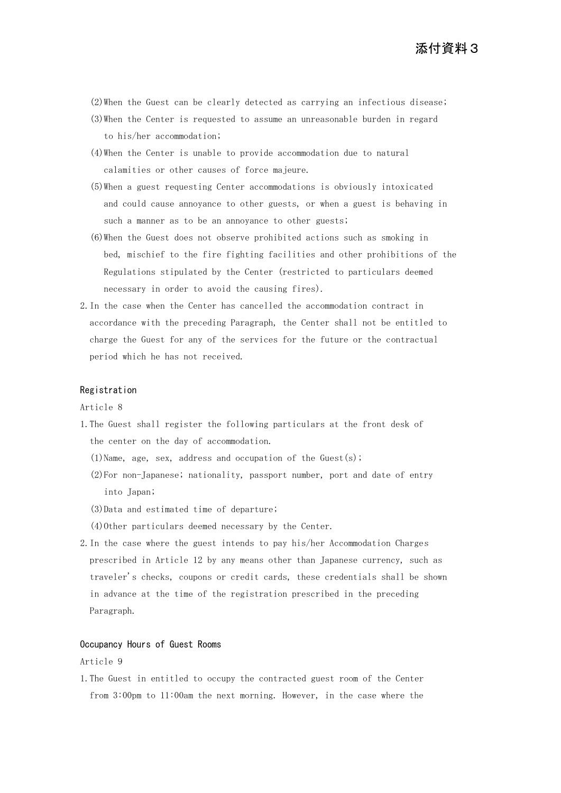- (2)When the Guest can be clearly detected as carrying an infectious disease;
- (3)When the Center is requested to assume an unreasonable burden in regard to his/her accommodation;
- (4)When the Center is unable to provide accommodation due to natural calamities or other causes of force majeure.
- (5)When a guest requesting Center accommodations is obviously intoxicated and could cause annoyance to other guests, or when a guest is behaving in such a manner as to be an annoyance to other guests;
- (6)When the Guest does not observe prohibited actions such as smoking in bed, mischief to the fire fighting facilities and other prohibitions of the Regulations stipulated by the Center (restricted to particulars deemed necessary in order to avoid the causing fires).
- 2.In the case when the Center has cancelled the accommodation contract in accordance with the preceding Paragraph, the Center shall not be entitled to charge the Guest for any of the services for the future or the contractual period which he has not received.

#### Registration

Article 8

- 1.The Guest shall register the following particulars at the front desk of the center on the day of accommodation.
	- (1) Name, age, sex, address and occupation of the Guest $(s)$ ;
	- (2)For non-Japanese; nationality, passport number, port and date of entry into Japan;
	- (3)Data and estimated time of departure;
	- (4)Other particulars deemed necessary by the Center.
- 2.In the case where the guest intends to pay his/her Accommodation Charges prescribed in Article 12 by any means other than Japanese currency, such as traveler's checks, coupons or credit cards, these credentials shall be shown in advance at the time of the registration prescribed in the preceding Paragraph.

#### Occupancy Hours of Guest Rooms

Article 9

1.The Guest in entitled to occupy the contracted guest room of the Center from 3:00pm to 11:00am the next morning. However, in the case where the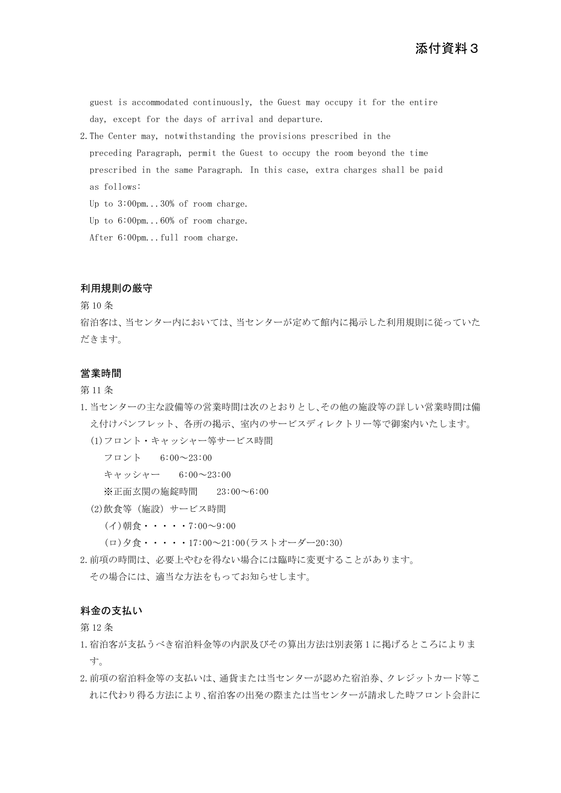guest is accommodated continuously, the Guest may occupy it for the entire day, except for the days of arrival and departure.

2.The Center may, notwithstanding the provisions prescribed in the preceding Paragraph, permit the Guest to occupy the room beyond the time prescribed in the same Paragraph. In this case, extra charges shall be paid as follows:

Up to  $3:00$ pm... $30\%$  of room charge.

Up to 6:00pm...60% of room charge.

After 6:00pm...full room charge.

#### 利用規則の厳守

第 10 条

宿泊客は、当センター内においては、当センターが定めて館内に掲示した利用規則に従っていた だきます。

#### 営業時間

第 11 条

- 1.当センターの主な設備等の営業時間は次のとおりとし、その他の施設等の詳しい営業時間は備 え付けパンフレット、各所の掲示、室内のサービスディレクトリー等で御案内いたします。
	- (1)フロント・キャッシャー等サービス時間

フロント 6:00~23:00

キャッシャー 6:00~23:00

※正面玄関の施錠時間 23:00~6:00

- (2)飲食等(施設)サービス時間
	- (イ)朝食・・・・・7:00~9:00
	- (ロ)夕食・・・・・17:00~21:00(ラストオーダー20:30)
- 2.前項の時間は、必要上やむを得ない場合には臨時に変更することがあります。 その場合には、適当な方法をもってお知らせします。

#### 料金の支払い

第 12 条

- 1.宿泊客が支払うべき宿泊料金等の内訳及びその算出方法は別表第 1 に掲げるところによりま す。
- 2.前項の宿泊料金等の支払いは、通貨または当センターが認めた宿泊券、クレジットカード等こ れに代わり得る方法により、宿泊客の出発の際または当センターが請求した時フロント会計に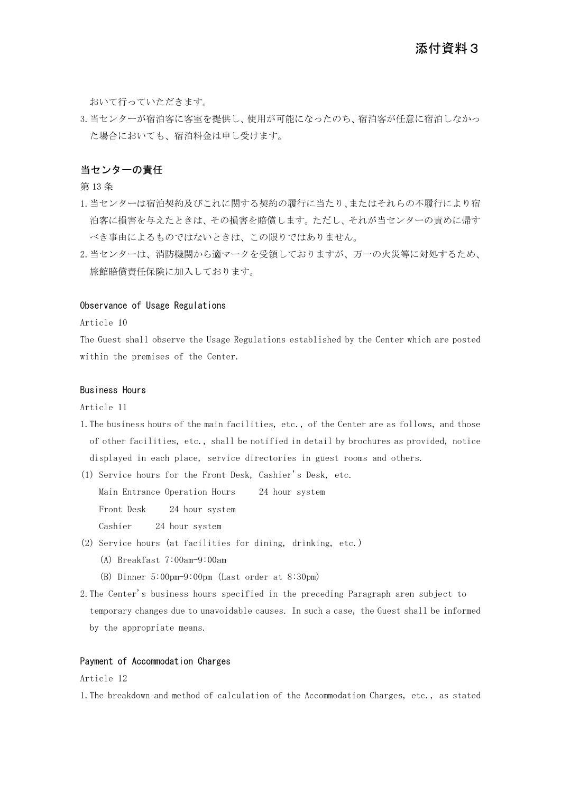おいて行っていただきます。

3.当センターが宿泊客に客室を提供し、使用が可能になったのち、宿泊客が任意に宿泊しなかっ た場合においても、宿泊料金は申し受けます。

#### 当センターの責任

第 13 条

- 1.当センターは宿泊契約及びこれに関する契約の履行に当たり、またはそれらの不履行により宿 泊客に損害を与えたときは、その損害を賠償します。ただし、それが当センターの責めに帰す べき事由によるものではないときは、この限りではありません。
- 2.当センターは、消防機関から適マークを受領しておりますが、万一の火災等に対処するため、 旅館賠償責任保険に加入しております。

#### Observance of Usage Regulations

Article 10

The Guest shall observe the Usage Regulations established by the Center which are posted within the premises of the Center.

#### Business Hours

Article 11

- 1.The business hours of the main facilities, etc., of the Center are as follows, and those of other facilities, etc., shall be notified in detail by brochures as provided, notice displayed in each place, service directories in guest rooms and others.
- (1) Service hours for the Front Desk, Cashier's Desk, etc.

Main Entrance Operation Hours 24 hour system

Front Desk 24 hour system

Cashier 24 hour system

- (2) Service hours (at facilities for dining, drinking, etc.)
	- (A) Breakfast 7:00am-9:00am
	- (B) Dinner 5:00pm-9:00pm (Last order at 8:30pm)
- 2.The Center's business hours specified in the preceding Paragraph aren subject to temporary changes due to unavoidable causes. In such a case, the Guest shall be informed by the appropriate means.

#### Payment of Accommodation Charges

#### Article 12

1.The breakdown and method of calculation of the Accommodation Charges, etc., as stated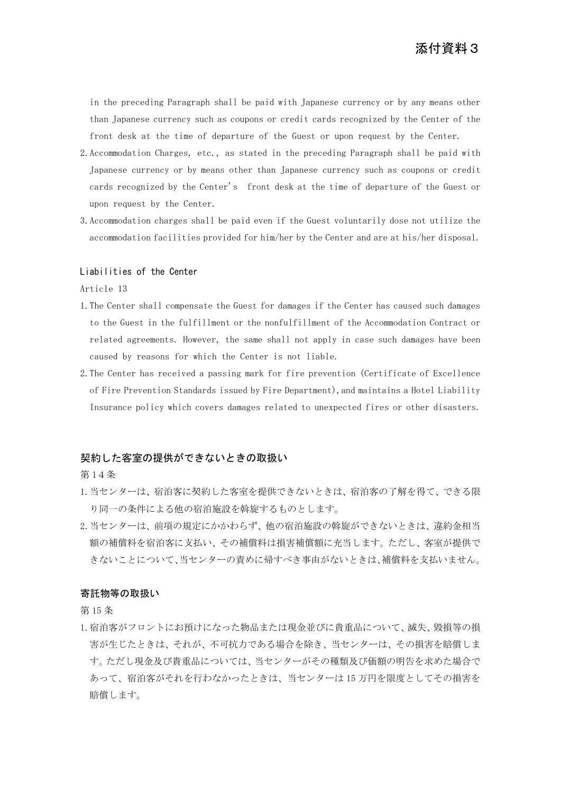in the preceding Paragraph shall be paid with Japanese currency or by any means other than Japanese currency such as coupons or credit cards recognized by the Center of the front desk at the time of departure of the Guest or upon request by the Center.

- 2.Accommodation Charges, etc., as stated in the preceding Paragraph shall be paid with Japanese currency or by means other than Japanese currency such as coupons or credit cards recognized by the Center's front desk at the time of departure of the Guest or upon request by the Center.
- 3.Accommodation charges shall be paid even if the Guest voluntarily dose not utilize the accommodation facilities provided for him/her by the Center and are at his/her disposal.

#### Liabilities of the Center

Article 13

- 1.The Center shall compensate the Guest for damages if the Center has caused such damages to the Guest in the fulfillment or the nonfulfillment of the Accommodation Contract or related agreements. However, the same shall not apply in case such damages have been caused by reasons for which the Center is not liable.
- 2.The Center has received a passing mark for fire prevention (Certificate of Excellence of Fire Prevention Standards issued by Fire Department),and maintains a Hotel Liability Insurance policy which covers damages related to unexpected fires or other disasters.

#### 契約した客室の提供ができないときの取扱い

第 14条

- 1.当センターは、宿泊客に契約した客室を提供できないときは、宿泊客の了解を得て、できる限 り同一の条件による他の宿泊施設を斡旋するものとします。
- 2.当センターは、前項の規定にかかわらず、他の宿泊施設の斡旋ができないときは、違約金相当 額の補償料を宿泊客に支払い、その補償料は損害補償額に充当します。ただし、客室が提供で きないことについて、当センターの責めに帰すべき事由がないときは、補償料を支払いません。

#### 寄託物等の取扱い

第 15 条

1.宿泊客がフロントにお預けになった物品または現金並びに貴重品について、滅失、毀損等の損 害が生じたときは、それが、不可抗力である場合を除き、当センターは、その損害を賠償しま す。ただし現金及び貴重品については、当センターがその種類及び価額の明告を求めた場合で あって、宿泊客がそれを行わなかったときは、当センターは 15 万円を限度としてその損害を 賠償します。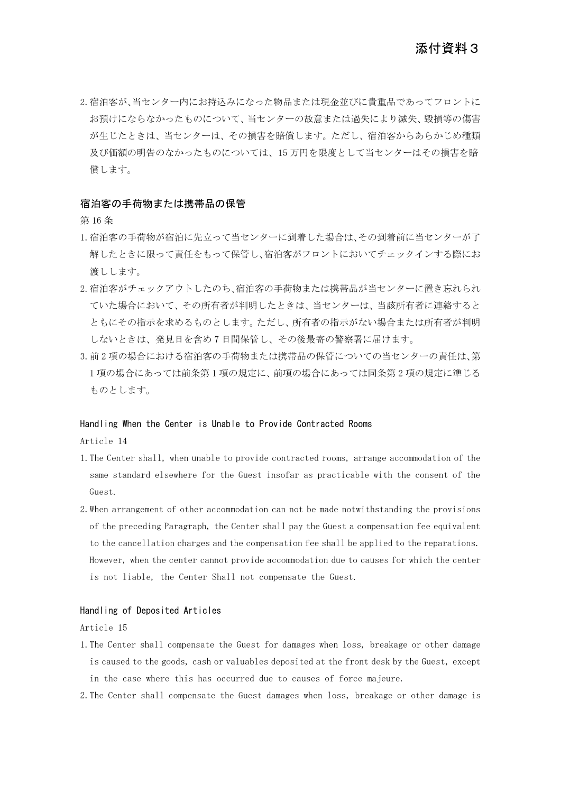2.宿泊客が、当センター内にお持込みになった物品または現金並びに貴重品であってフロントに お預けにならなかったものについて、当センターの故意または過失により滅失、毀損等の傷害 が生じたときは、当センターは、その損害を賠償します。ただし、宿泊客からあらかじめ種類 及び価額の明告のなかったものについては、15 万円を限度として当センターはその損害を賠 償します。

#### 宿泊客の手荷物または携帯品の保管

第 16 条

- 1.宿泊客の手荷物が宿泊に先立って当センターに到着した場合は、その到着前に当センターが了 解したときに限って責任をもって保管し、宿泊客がフロントにおいてチェックインする際にお 渡しします。
- 2.宿泊客がチェックアウトしたのち、宿泊客の手荷物または携帯品が当センターに置き忘れられ ていた場合において、その所有者が判明したときは、当センターは、当該所有者に連絡すると ともにその指示を求めるものとします。ただし、所有者の指示がない場合または所有者が判明 しないときは、発見日を含め 7 日間保管し、その後最寄の警察署に届けます。
- 3.前 2 項の場合における宿泊客の手荷物または携帯品の保管についての当センターの責任は、第 1 項の場合にあっては前条第 1 項の規定に、前項の場合にあっては同条第 2 項の規定に準じる ものとします。

#### Handling When the Center is Unable to Provide Contracted Rooms

Article 14

- 1.The Center shall, when unable to provide contracted rooms, arrange accommodation of the same standard elsewhere for the Guest insofar as practicable with the consent of the Guest.
- 2.When arrangement of other accommodation can not be made notwithstanding the provisions of the preceding Paragraph, the Center shall pay the Guest a compensation fee equivalent to the cancellation charges and the compensation fee shall be applied to the reparations. However, when the center cannot provide accommodation due to causes for which the center is not liable, the Center Shall not compensate the Guest.

#### Handling of Deposited Articles

Article 15

- 1.The Center shall compensate the Guest for damages when loss, breakage or other damage is caused to the goods, cash or valuables deposited at the front desk by the Guest, except in the case where this has occurred due to causes of force majeure.
- 2.The Center shall compensate the Guest damages when loss, breakage or other damage is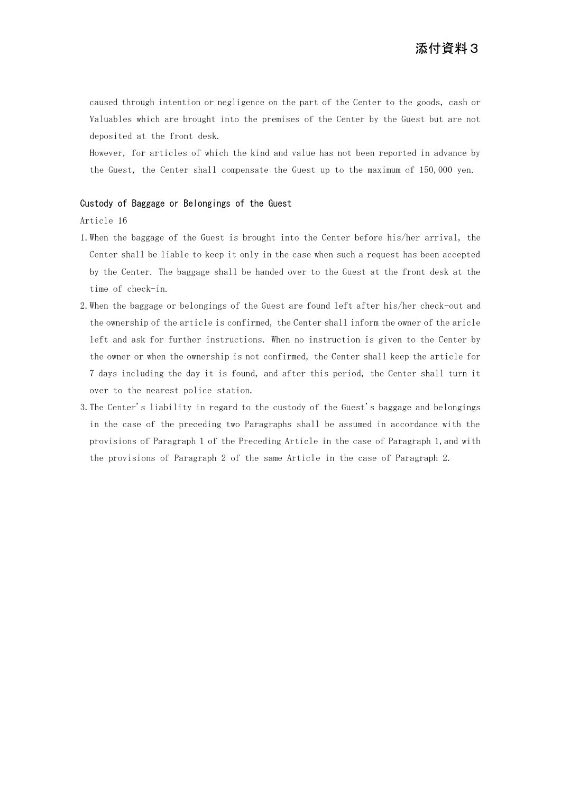caused through intention or negligence on the part of the Center to the goods, cash or Valuables which are brought into the premises of the Center by the Guest but are not deposited at the front desk.

However, for articles of which the kind and value has not been reported in advance by the Guest, the Center shall compensate the Guest up to the maximum of 150,000 yen.

#### Custody of Baggage or Belongings of the Guest

Article 16

- 1.When the baggage of the Guest is brought into the Center before his/her arrival, the Center shall be liable to keep it only in the case when such a request has been accepted by the Center. The baggage shall be handed over to the Guest at the front desk at the time of check-in.
- 2.When the baggage or belongings of the Guest are found left after his/her check-out and the ownership of the article is confirmed, the Center shall inform the owner of the aricle left and ask for further instructions. When no instruction is given to the Center by the owner or when the ownership is not confirmed, the Center shall keep the article for 7 days including the day it is found, and after this period, the Center shall turn it over to the nearest police station.
- 3.The Center's liability in regard to the custody of the Guest's baggage and belongings in the case of the preceding two Paragraphs shall be assumed in accordance with the provisions of Paragraph 1 of the Preceding Article in the case of Paragraph 1,and with the provisions of Paragraph 2 of the same Article in the case of Paragraph 2.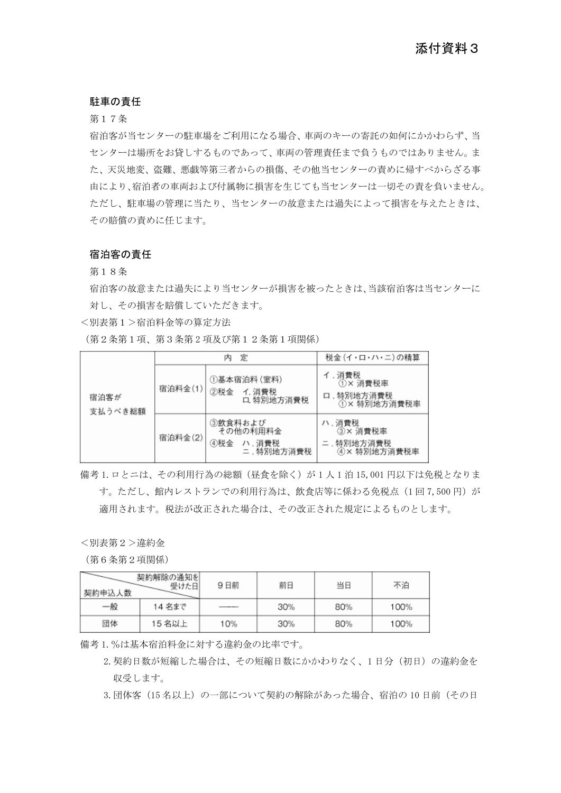#### 駐車の責任

第17条

宿泊客が当センターの駐車場をご利用になる場合、車両のキーの寄託の如何にかかわらず、当 センターは場所をお貸しするものであって、車両の管理責任まで負うものではありません。ま た、天災地変、盗難、悪戯等第三者からの損傷、その他当センターの責めに帰すべからざる事 由により、宿泊者の車両および付属物に損害を生じても当センターは一切その責を負いません。 ただし、駐車場の管理に当たり、当センターの故意または過失によって損害を与えたときは、 その賠償の責めに任じます。

#### 宿泊客の責任

第18条

宿泊客の故意または過失により当センターが損害を被ったときは、当該宿泊客は当センターに 対し、その損害を賠償していただきます。

<別表第1>宿泊料金等の算定方法

(第2条第1項、第3条第 2 項及び第12条第1項関係)

| 宿泊客が<br>支払うべき総額 | 定       |                                                   | 税金 (イ・ロ・ハ・ニ)の精算                                  |  |
|-----------------|---------|---------------------------------------------------|--------------------------------------------------|--|
|                 | 宿泊料金(1) | ①基本宿泊料(室料)<br>②税金<br>イ. 消費税<br>口 特別地方消費税          | イ . 消費税<br>①× 消費税率<br>口 . 特別地方消費税<br>①× 特別地方消費税率 |  |
|                 | 宿泊料金(2) | ③飲食料および<br>その他の利用料金<br>④税金<br>ハ.消費税<br>二. 特別地方消費税 | ハ.消費税<br>3×消費税率<br>二. 特別地方消費税<br>4× 特別地方消費税率     |  |

備考 1.ロとニは、その利用行為の総額(昼食を除く)が 1 人 1 泊 15,001 円以下は免税となりま す。ただし、館内レストランでの利用行為は、飲食店等に係わる免税点(1回7,500円)が 適用されます。税法が改正された場合は、その改正された規定によるものとします。

<別表第2>違約金

(第6条第2項関係)

| $\sim$<br>契約申込人数 | 契約解除の通知を<br>受けた日 | 9日前 | 前日  | 当日  | 不泊   |
|------------------|------------------|-----|-----|-----|------|
| 一般               | 14 名まで           |     | 30% | 80% | 100% |
| 団体               | 15 名以上           | 10% | 30% | 80% | 100% |

備考 1.%は基本宿泊料金に対する違約金の比率です。

2.契約日数が短縮した場合は、その短縮日数にかかわりなく、1 日分(初日)の違約金を 収受します。

3.団体客(15名以上)の一部について契約の解除があった場合、宿泊の 10 日前(その日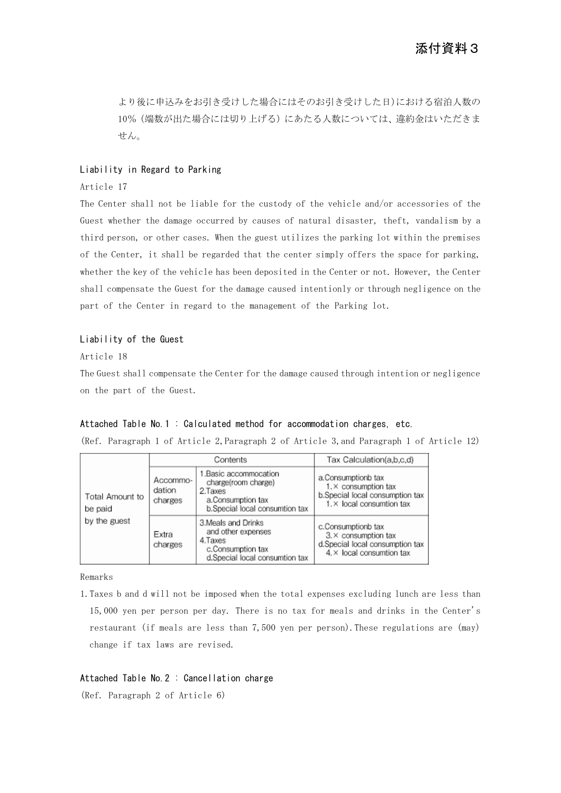より後に申込みをお引き受けした場合にはそのお引き受けした日)における宿泊人数の 10%(端数が出た場合には切り上げる)にあたる人数については、違約金はいただきま せん。

#### Liability in Regard to Parking

#### Article 17

The Center shall not be liable for the custody of the vehicle and/or accessories of the Guest whether the damage occurred by causes of natural disaster, theft, vandalism by a third person, or other cases. When the guest utilizes the parking lot within the premises of the Center, it shall be regarded that the center simply offers the space for parking, whether the key of the vehicle has been deposited in the Center or not. However, the Center shall compensate the Guest for the damage caused intentionly or through negligence on the part of the Center in regard to the management of the Parking lot.

#### Liability of the Guest

Article 18

The Guest shall compensate the Center for the damage caused through intention or negligence on the part of the Guest.

#### Attached Table No.1 : Calculated method for accommodation charges, etc.

(Ref. Paragraph 1 of Article 2,Paragraph 2 of Article 3,and Paragraph 1 of Article 12)

| Total Amount to<br>be paid<br>by the guest | Contents                      |                                                                                                                | Tax Calculation(a,b,c,d)                                                                                          |  |
|--------------------------------------------|-------------------------------|----------------------------------------------------------------------------------------------------------------|-------------------------------------------------------------------------------------------------------------------|--|
|                                            | Accommo-<br>dation<br>charges | 1.Basic accommocation<br>charge(room charge)<br>2.Taxes<br>a.Consumption tax<br>b.Special local consumtion tax | a.Consumptionb tax<br>$1. \times$ consumption tax<br>b.Special local consumption tax<br>1. X local consumtion tax |  |
|                                            | Extra<br>charges              | 3. Meals and Drinks<br>and other expenses<br>4. Taxes<br>c.Consumption tax<br>d.Special local consumtion tax   | c.Consumptionb tax<br>$3 \times$ consumption tax<br>d.Special local consumption tax<br>4. X local consumtion tax  |  |

Remarks

1.Taxes b and d will not be imposed when the total expenses excluding lunch are less than 15,000 yen per person per day. There is no tax for meals and drinks in the Center's restaurant (if meals are less than 7,500 yen per person).These regulations are (may) change if tax laws are revised.

#### Attached Table No.2 : Cancellation charge

(Ref. Paragraph 2 of Article 6)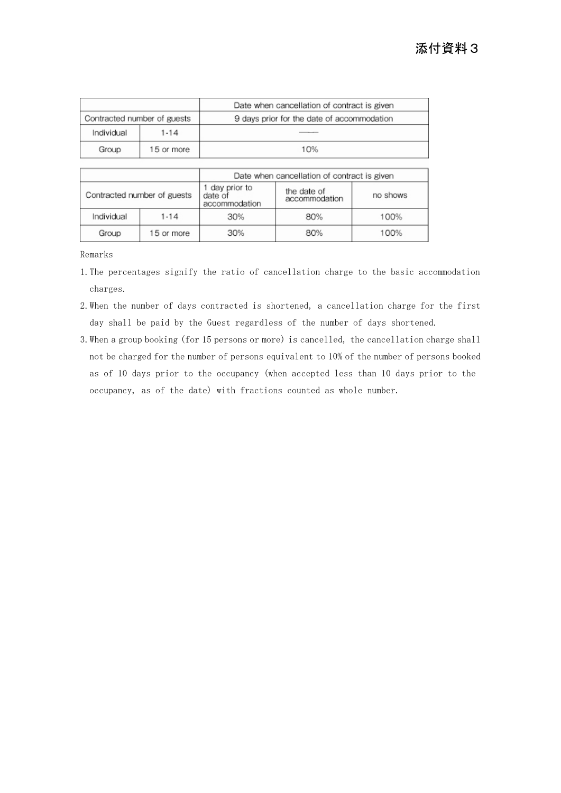|                             |            | Date when cancellation of contract is given |  |
|-----------------------------|------------|---------------------------------------------|--|
| Contracted number of guests |            | 9 days prior for the date of accommodation  |  |
| Individual                  | 1-14       |                                             |  |
| Group                       | 15 or more | 10%                                         |  |

|                             |            | Date when cancellation of contract is given |                              |          |
|-----------------------------|------------|---------------------------------------------|------------------------------|----------|
| Contracted number of guests |            | 1 day prior to<br>date of<br>accommodation  | the date of<br>accommodation | no shows |
| Individual                  | $1 - 14$   | 30%                                         | 80%                          | 100%     |
| Group                       | 15 or more | 30%                                         | 80%                          | 100%     |

Remarks

- 1.The percentages signify the ratio of cancellation charge to the basic accommodation charges.
- 2.When the number of days contracted is shortened, a cancellation charge for the first day shall be paid by the Guest regardless of the number of days shortened.
- 3.When a group booking (for 15 persons or more) is cancelled, the cancellation charge shall not be charged for the number of persons equivalent to 10% of the number of persons booked as of 10 days prior to the occupancy (when accepted less than 10 days prior to the occupancy, as of the date) with fractions counted as whole number.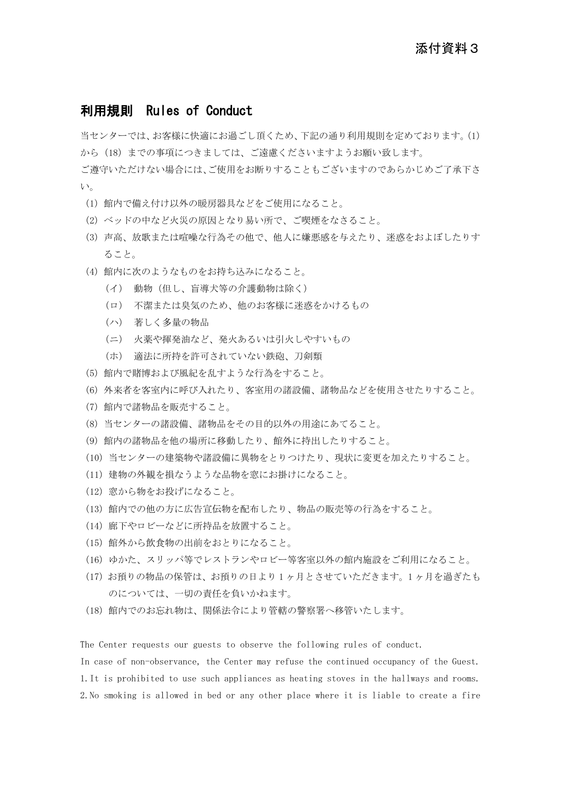## 利用規則 Rules of Conduct

当センターでは、お客様に快適にお過ごし頂くため、下記の通り利用規則を定めております。(1) から(18)までの事項につきましては、ご遠慮くださいますようお願い致します。

ご遵守いただけない場合には、ご使用をお断りすることもございますのであらかじめご了承下さ い。

- (1)館内で備え付け以外の暖房器具などをご使用になること。
- (2)ベッドの中など火災の原因となり易い所で、ご喫煙をなさること。
- (3)声高、放歌または喧噪な行為その他で、他人に嫌悪感を与えたり、迷惑をおよぼしたりす ること。
- (4)館内に次のようなものをお持ち込みになること。
	- (イ) 動物(但し、盲導犬等の介護動物は除く)
	- (ロ) 不潔または臭気のため、他のお客様に迷惑をかけるもの
	- (ハ) 著しく多量の物品
	- (ニ) 火薬や揮発油など、発火あるいは引火しやすいもの
	- (ホ) 適法に所持を許可されていない鉄砲、刀剣類
- (5)館内で賭博および風紀を乱すような行為をすること。
- (6)外来者を客室内に呼び入れたり、客室用の諸設備、諸物品などを使用させたりすること。
- (7)館内で諸物品を販売すること。
- (8)当センターの諸設備、諸物品をその目的以外の用途にあてること。
- (9)館内の諸物品を他の場所に移動したり、館外に持出したりすること。
- (10)当センターの建築物や諸設備に異物をとりつけたり、現状に変更を加えたりすること。
- (11)建物の外観を損なうような品物を窓にお掛けになること。
- (12)窓から物をお投げになること。
- (13)館内での他の方に広告宣伝物を配布したり、物品の販売等の行為をすること。
- (14)廊下やロビーなどに所持品を放置すること。
- (15)館外から飲食物の出前をおとりになること。
- (16)ゆかた、スリッパ等でレストランやロビー等客室以外の館内施設をご利用になること。
- (17)お預りの物品の保管は、お預りの日より 1 ヶ月とさせていただきます。1 ヶ月を過ぎたも のについては、一切の責任を負いかねます。
- (18)館内でのお忘れ物は、関係法令により管轄の警察署へ移管いたします。

The Center requests our guests to observe the following rules of conduct.

In case of non-observance, the Center may refuse the continued occupancy of the Guest. 1.It is prohibited to use such appliances as heating stoves in the hallways and rooms. 2.No smoking is allowed in bed or any other place where it is liable to create a fire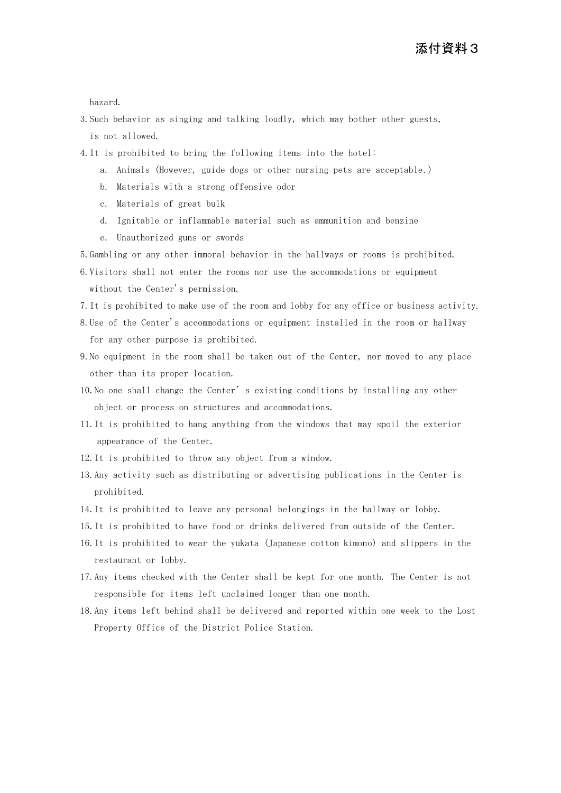hazard.

- 3.Such behavior as singing and talking loudly, which may bother other guests, is not allowed.
- 4.It is prohibited to bring the following items into the hotel:
	- a. Animals (However, guide dogs or other nursing pets are acceptable.)
	- b. Materials with a strong offensive odor
	- c. Materials of great bulk
	- d. Ignitable or inflammable material such as ammunition and benzine
	- e. Unauthorized guns or swords
- 5.Gambling or any other immoral behavior in the hallways or rooms is prohibited.
- 6.Visitors shall not enter the rooms nor use the accommodations or equipment without the Center's permission.
- 7.It is prohibited to make use of the room and lobby for any office or business activity.
- 8.Use of the Center's accommodations or equipment installed in the room or hallway for any other purpose is prohibited.
- 9.No equipment in the room shall be taken out of the Center, nor moved to any place other than its proper location.
- 10.No one shall change the Center's existing conditions by installing any other object or process on structures and accommodations.
- 11.It is prohibited to hang anything from the windows that may spoil the exterior appearance of the Center.
- 12.It is prohibited to throw any object from a window.
- 13.Any activity such as distributing or advertising publications in the Center is prohibited.
- 14.It is prohibited to leave any personal belongings in the hallway or lobby.
- 15.It is prohibited to have food or drinks delivered from outside of the Center.
- 16.It is prohibited to wear the yukata (Japanese cotton kimono) and slippers in the restaurant or lobby.
- 17.Any items checked with the Center shall be kept for one month. The Center is not responsible for items left unclaimed longer than one month.
- 18.Any items left behind shall be delivered and reported within one week to the Lost Property Office of the District Police Station.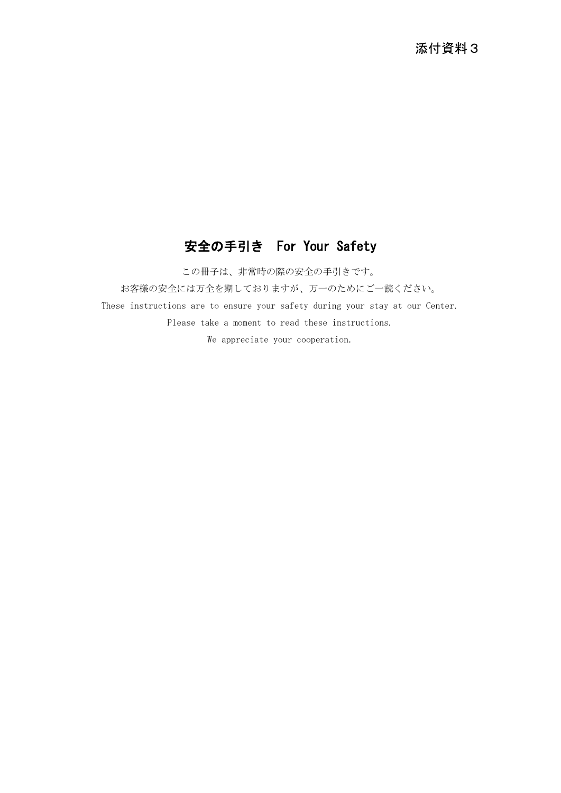## 安全の手引き For Your Safety

この冊子は、非常時の際の安全の手引きです。

お客様の安全には万全を期しておりますが、万一のためにご一読ください。

These instructions are to ensure your safety during your stay at our Center.

Please take a moment to read these instructions.

We appreciate your cooperation.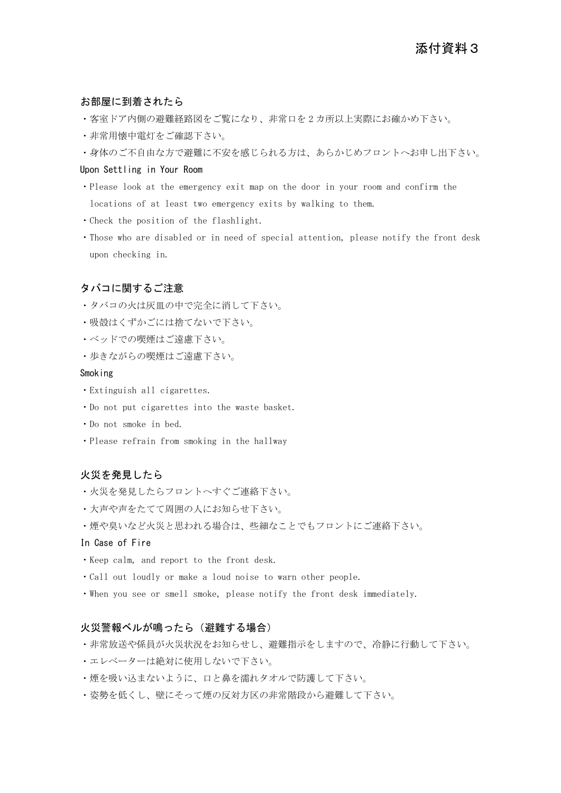#### お部屋に到着されたら

- ・客室ドア内側の避難経路図をご覧になり、非常口を 2 カ所以上実際にお確かめ下さい。
- ・非常用懐中電灯をご確認下さい。
- ・身体のご不自由な方で避難に不安を感じられる方は、あらかじめフロントへお申し出下さい。

#### Upon Settling in Your Room

- ・Please look at the emergency exit map on the door in your room and confirm the locations of at least two emergency exits by walking to them.
- ・Check the position of the flashlight.
- ・Those who are disabled or in need of special attention, please notify the front desk upon checking in.

#### タバコに関するご注意

- ・タバコの火は灰皿の中で完全に消して下さい。
- ・吸殻はくずかごには捨てないで下さい。
- ・ベッドでの喫煙はご遠慮下さい。
- ・歩きながらの喫煙はご遠慮下さい。

#### Smoking

- ・Extinguish all cigarettes.
- ・Do not put cigarettes into the waste basket.
- ・Do not smoke in bed.
- ・Please refrain from smoking in the hallway

## 火災を発見したら

- ・火災を発見したらフロントへすぐご連絡下さい。
- ・大声や声をたてて周囲の人にお知らせ下さい。
- ・煙や臭いなど火災と思われる場合は、些細なことでもフロントにご連絡下さい。

#### In Case of Fire

- ・Keep calm, and report to the front desk.
- ・Call out loudly or make a loud noise to warn other people.
- ・When you see or smell smoke, please notify the front desk immediately.

#### 火災警報ベルが鳴ったら(避難する場合)

- ・非常放送や係員が火災状況をお知らせし、避難指示をしますので、冷静に行動して下さい。
- ・エレベーターは絶対に使用しないで下さい。
- ・煙を吸い込まないように、口と鼻を濡れタオルで防護して下さい。
- ・姿勢を低くし、壁にそって煙の反対方区の非常階段から避難して下さい。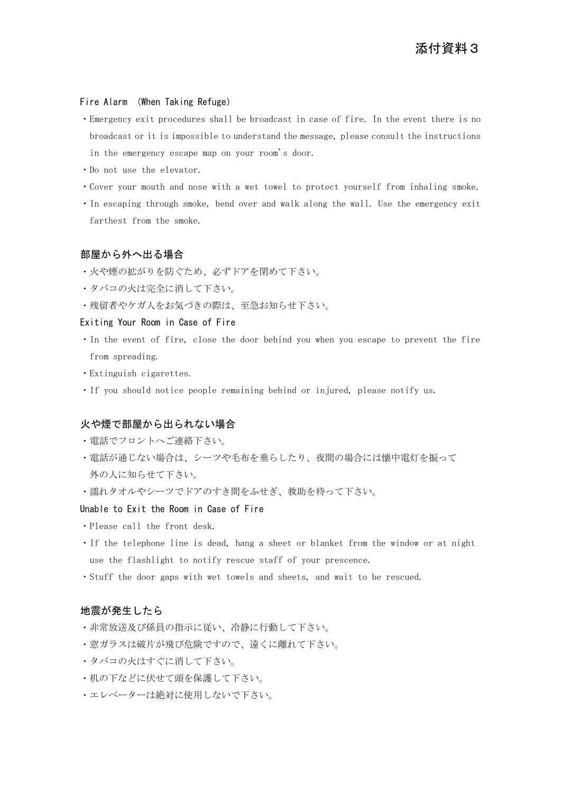#### Fire Alarm (When Taking Refuge)

- ・Emergency exit procedures shall be broadcast in case of fire. In the event there is no broadcast or it is impossible to understand the message, please consult the instructions in the emergency escape map on your room's door.
- ・Do not use the elevator.
- ・Cover your mouth and nose with a wet towel to protect yourself from inhaling smoke.
- ・In escaping through smoke, bend over and walk along the wall. Use the emergency exit farthest from the smoke.

### 部屋から外へ出る場合

- ・火や煙の拡がりを防ぐため、必ずドアを閉めて下さい。
- ・タバコの火は完全に消して下さい。
- ・残留者やケガ人をお気づきの際は、至急お知らせ下さい。

#### Exiting Your Room in Case of Fire

- ・In the event of fire, close the door behind you when you escape to prevent the fire from spreading.
- ・Extinguish cigarettes.
- ・If you should notice people remaining behind or injured, please notify us.

#### 火や煙で部屋から出られない場合

- ・電話でフロントへご連絡下さい。
- ・電話が通じない場合は、シーツや毛布を垂らしたり、夜間の場合には懐中電灯を振って 外の人に知らせて下さい。
- ・濡れタオルやシーツでドアのすき間をふせぎ、救助を待って下さい。

#### Unable to Exit the Room in Case of Fire

- ・Please call the front desk.
- ・If the telephone line is dead, hang a sheet or blanket from the window or at night use the flashlight to notify rescue staff of your prescence.
- ・Stuff the door gaps with wet towels and sheets, and wait to be rescued.

#### 地震が発生したら

- ・非常放送及び係員の指示に従い、冷静に行動して下さい。
- ・窓ガラスは破片が飛び危険ですので、遠くに離れて下さい。
- ・タバコの火はすぐに消して下さい。
- ・机の下などに伏せて頭を保護して下さい。
- ・エレベーターは絶対に使用しないで下さい。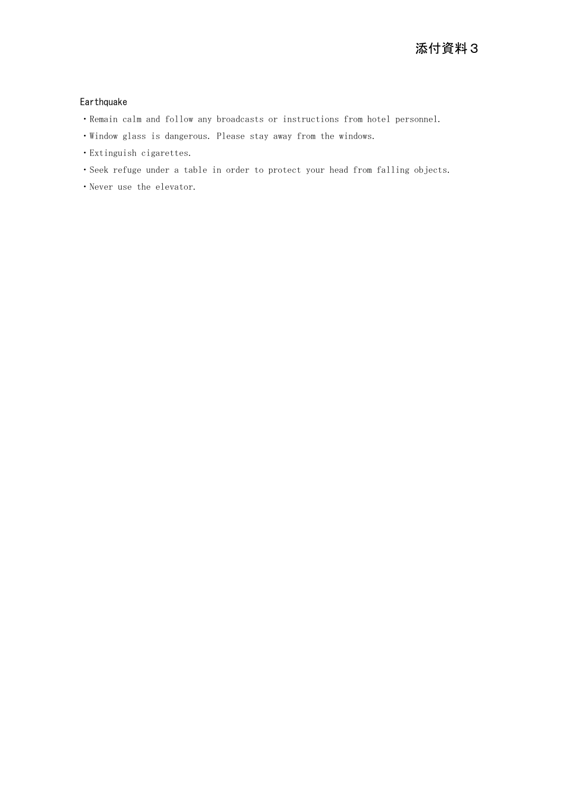#### **Earthquake**

- ・Remain calm and follow any broadcasts or instructions from hotel personnel.
- ・Window glass is dangerous. Please stay away from the windows.
- ・Extinguish cigarettes.
- ・Seek refuge under a table in order to protect your head from falling objects.
- ・Never use the elevator.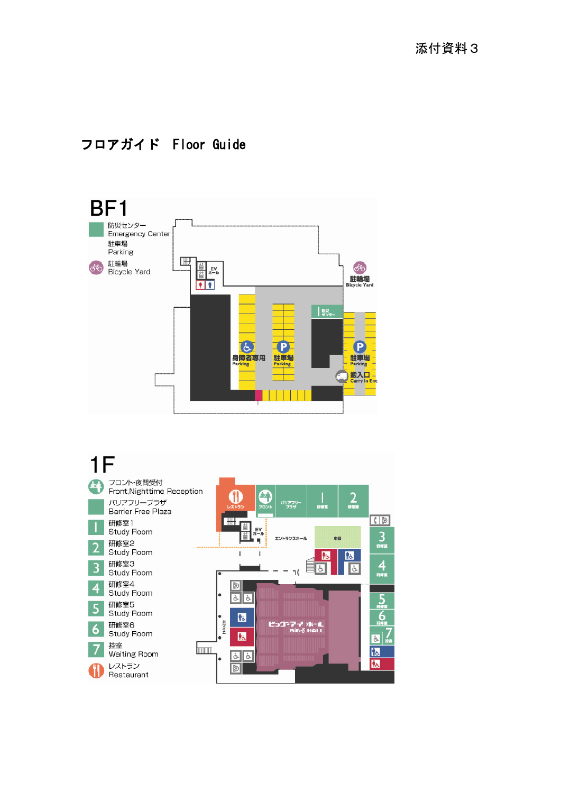# フロアガイド Floor Guide